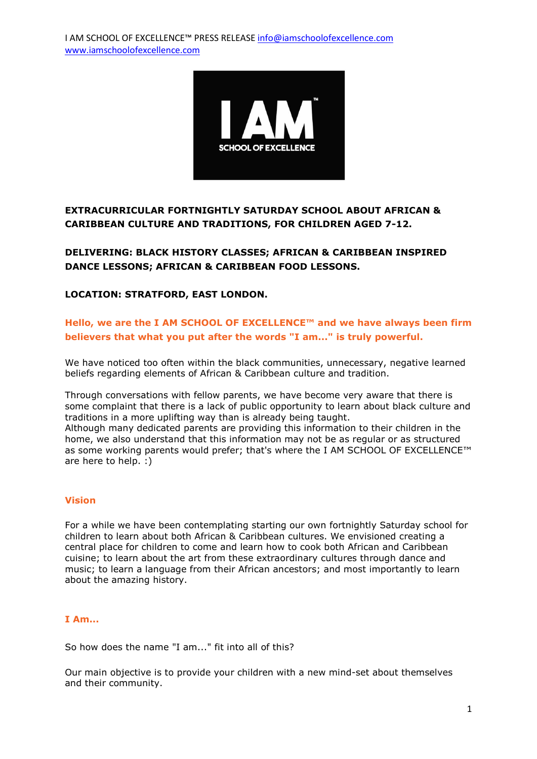

# **EXTRACURRICULAR FORTNIGHTLY SATURDAY SCHOOL ABOUT AFRICAN & CARIBBEAN CULTURE AND TRADITIONS, FOR CHILDREN AGED 7-12.**

**DELIVERING: BLACK HISTORY CLASSES; AFRICAN & CARIBBEAN INSPIRED DANCE LESSONS; AFRICAN & CARIBBEAN FOOD LESSONS.**

### **LOCATION: STRATFORD, EAST LONDON.**

## **Hello, we are the I AM SCHOOL OF EXCELLENCE™ and we have always been firm believers that what you put after the words "I am..." is truly powerful.**

We have noticed too often within the black communities, unnecessary, negative learned beliefs regarding elements of African & Caribbean culture and tradition.

Through conversations with fellow parents, we have become very aware that there is some complaint that there is a lack of public opportunity to learn about black culture and traditions in a more uplifting way than is already being taught.

Although many dedicated parents are providing this information to their children in the home, we also understand that this information may not be as regular or as structured as some working parents would prefer; that's where the I AM SCHOOL OF EXCELLENCE™ are here to help. :)

### **Vision**

For a while we have been contemplating starting our own fortnightly Saturday school for children to learn about both African & Caribbean cultures. We envisioned creating a central place for children to come and learn how to cook both African and Caribbean cuisine; to learn about the art from these extraordinary cultures through dance and music; to learn a language from their African ancestors; and most importantly to learn about the amazing history.

### **I Am...**

So how does the name "I am..." fit into all of this?

Our main objective is to provide your children with a new mind-set about themselves and their community.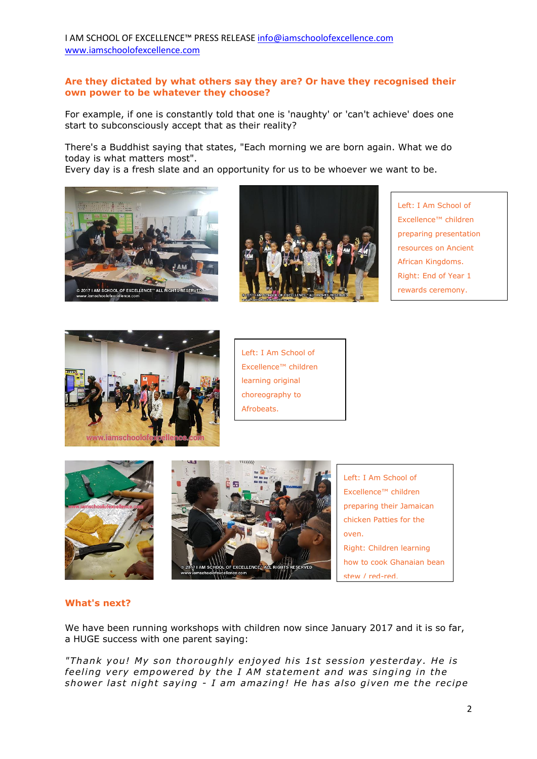I AM SCHOOL OF EXCELLENCE™ PRESS RELEAS[E info@iamschoolofexcellence.com](mailto:info@iamschoolofexcellence.com) [www.iamschoolofexcellence.com](http://www.iamschoolofexcellence.com/)

#### **Are they dictated by what others say they are? Or have they recognised their own power to be whatever they choose?**

For example, if one is constantly told that one is 'naughty' or 'can't achieve' does one start to subconsciously accept that as their reality?

There's a Buddhist saying that states, "Each morning we are born again. What we do today is what matters most".

Every day is a fresh slate and an opportunity for us to be whoever we want to be.





Left: I Am School of Excellence™ children preparing presentation resources on Ancient African Kingdoms. Right: End of Year 1 rewards ceremony.



Left: I Am School of Excellence™ children learning original choreography to Afrobeats.



#### **What's next?**

We have been running workshops with children now since January 2017 and it is so far, a HUGE success with one parent saying:

"Thank you! My son thoroughly enjoyed his 1st session yesterday. He is *feeling very empowered by the I AM statement and was singing in the* shower last night saying - I am amazing! He has also given me the recipe